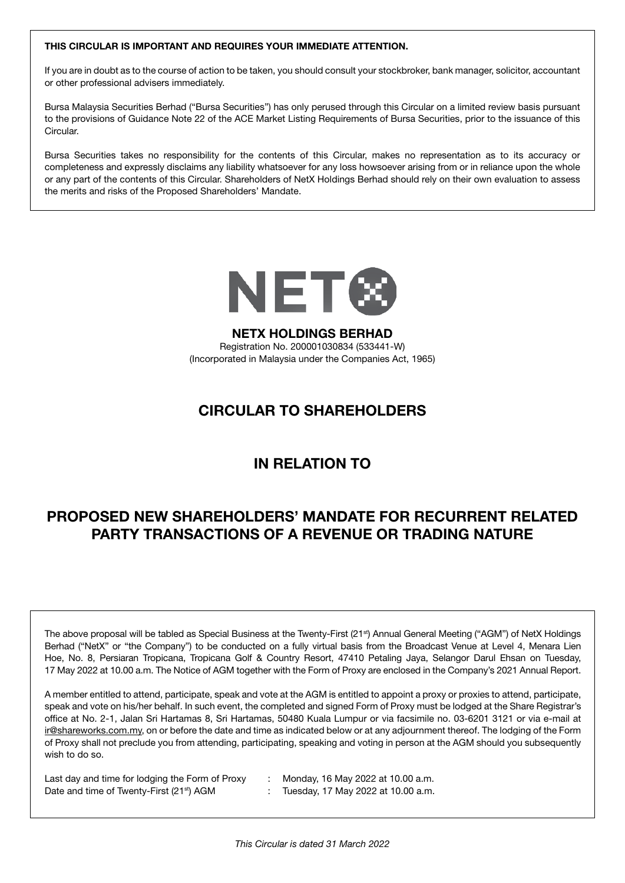### THIS CIRCULAR IS IMPORTANT AND REQUIRES YOUR IMMEDIATE ATTENTION.

If you are in doubt as to the course of action to be taken, you should consult your stockbroker, bank manager, solicitor, accountant or other professional advisers immediately.

Bursa Malaysia Securities Berhad ("Bursa Securities") has only perused through this Circular on a limited review basis pursuant to the provisions of Guidance Note 22 of the ACE Market Listing Requirements of Bursa Securities, prior to the issuance of this **Circular** 

Bursa Securities takes no responsibility for the contents of this Circular, makes no representation as to its accuracy or completeness and expressly disclaims any liability whatsoever for any loss howsoever arising from or in reliance upon the whole or any part of the contents of this Circular. Shareholders of NetX Holdings Berhad should rely on their own evaluation to assess the merits and risks of the Proposed Shareholders' Mandate.



### NETX HOLDINGS BERHAD

Registration No. 200001030834 (533441-W) (Incorporated in Malaysia under the Companies Act, 1965)

# CIRCULAR TO SHAREHOLDERS

# IN RELATION TO

# PROPOSED NEW SHAREHOLDERS' MANDATE FOR RECURRENT RELATED PARTY TRANSACTIONS OF A REVENUE OR TRADING NATURE

The above proposal will be tabled as Special Business at the Twenty-First (21<sup>st</sup>) Annual General Meeting ("AGM") of NetX Holdings Berhad ("NetX" or "the Company") to be conducted on a fully virtual basis from the Broadcast Venue at Level 4, Menara Lien Hoe, No. 8, Persiaran Tropicana, Tropicana Golf & Country Resort, 47410 Petaling Jaya, Selangor Darul Ehsan on Tuesday, 17 May 2022 at 10.00 a.m. The Notice of AGM together with the Form of Proxy are enclosed in the Company's 2021 Annual Report.

A member entitled to attend, participate, speak and vote at the AGM is entitled to appoint a proxy or proxies to attend, participate, speak and vote on his/her behalf. In such event, the completed and signed Form of Proxy must be lodged at the Share Registrar's office at No. 2-1, Jalan Sri Hartamas 8, Sri Hartamas, 50480 Kuala Lumpur or via facsimile no. 03-6201 3121 or via e-mail at ir@shareworks.com.my, on or before the date and time as indicated below or at any adjournment thereof. The lodging of the Form of Proxy shall not preclude you from attending, participating, speaking and voting in person at the AGM should you subsequently wish to do so.

Last day and time for lodging the Form of Proxy : Monday, 16 May 2022 at 10.00 a.m. Date and time of Twenty-First (21<sup>st</sup>) AGM : Tuesday, 17 May 2022 at 10.00 a.m.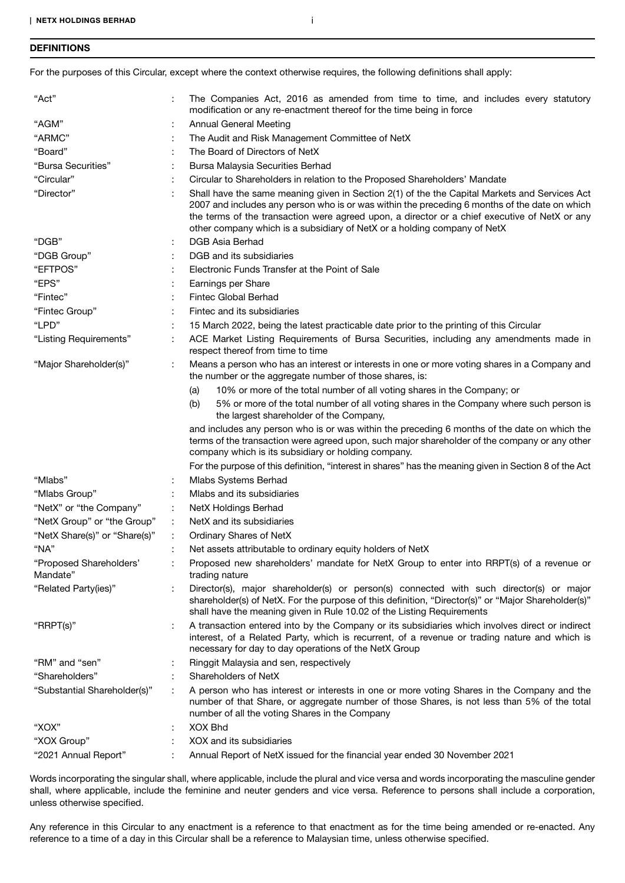### **DEFINITIONS**

For the purposes of this Circular, except where the context otherwise requires, the following definitions shall apply:

| "Act"                               |   | The Companies Act, 2016 as amended from time to time, and includes every statutory<br>modification or any re-enactment thereof for the time being in force                                                                                                                                                                                                                  |  |  |
|-------------------------------------|---|-----------------------------------------------------------------------------------------------------------------------------------------------------------------------------------------------------------------------------------------------------------------------------------------------------------------------------------------------------------------------------|--|--|
| "AGM"                               |   | <b>Annual General Meeting</b>                                                                                                                                                                                                                                                                                                                                               |  |  |
| "ARMC"                              |   | The Audit and Risk Management Committee of NetX                                                                                                                                                                                                                                                                                                                             |  |  |
| "Board"                             |   | The Board of Directors of NetX                                                                                                                                                                                                                                                                                                                                              |  |  |
| "Bursa Securities"                  |   | Bursa Malaysia Securities Berhad                                                                                                                                                                                                                                                                                                                                            |  |  |
| "Circular"                          |   | Circular to Shareholders in relation to the Proposed Shareholders' Mandate                                                                                                                                                                                                                                                                                                  |  |  |
| "Director"                          |   | Shall have the same meaning given in Section 2(1) of the the Capital Markets and Services Act<br>2007 and includes any person who is or was within the preceding 6 months of the date on which<br>the terms of the transaction were agreed upon, a director or a chief executive of NetX or any<br>other company which is a subsidiary of NetX or a holding company of NetX |  |  |
| "DGB"                               |   | DGB Asia Berhad                                                                                                                                                                                                                                                                                                                                                             |  |  |
| "DGB Group"                         |   | DGB and its subsidiaries                                                                                                                                                                                                                                                                                                                                                    |  |  |
| "EFTPOS"                            |   | Electronic Funds Transfer at the Point of Sale                                                                                                                                                                                                                                                                                                                              |  |  |
| "EPS"                               |   | Earnings per Share                                                                                                                                                                                                                                                                                                                                                          |  |  |
| "Fintec"                            |   | Fintec Global Berhad                                                                                                                                                                                                                                                                                                                                                        |  |  |
| "Fintec Group"                      |   | Fintec and its subsidiaries                                                                                                                                                                                                                                                                                                                                                 |  |  |
| "LPD"                               |   | 15 March 2022, being the latest practicable date prior to the printing of this Circular                                                                                                                                                                                                                                                                                     |  |  |
| "Listing Requirements"              |   | ACE Market Listing Requirements of Bursa Securities, including any amendments made in<br>respect thereof from time to time                                                                                                                                                                                                                                                  |  |  |
| "Major Shareholder(s)"              |   | Means a person who has an interest or interests in one or more voting shares in a Company and<br>the number or the aggregate number of those shares, is:                                                                                                                                                                                                                    |  |  |
|                                     |   | 10% or more of the total number of all voting shares in the Company; or<br>(a)                                                                                                                                                                                                                                                                                              |  |  |
|                                     |   | 5% or more of the total number of all voting shares in the Company where such person is<br>(b)<br>the largest shareholder of the Company,                                                                                                                                                                                                                                   |  |  |
|                                     |   | and includes any person who is or was within the preceding 6 months of the date on which the<br>terms of the transaction were agreed upon, such major shareholder of the company or any other<br>company which is its subsidiary or holding company.                                                                                                                        |  |  |
|                                     |   | For the purpose of this definition, "interest in shares" has the meaning given in Section 8 of the Act                                                                                                                                                                                                                                                                      |  |  |
| "Mlabs"                             |   | Mlabs Systems Berhad                                                                                                                                                                                                                                                                                                                                                        |  |  |
| "Mlabs Group"                       |   | Mlabs and its subsidiaries                                                                                                                                                                                                                                                                                                                                                  |  |  |
| "NetX" or "the Company"             |   | <b>NetX Holdings Berhad</b>                                                                                                                                                                                                                                                                                                                                                 |  |  |
| "NetX Group" or "the Group"         |   | NetX and its subsidiaries                                                                                                                                                                                                                                                                                                                                                   |  |  |
| "NetX Share(s)" or "Share(s)"       |   | Ordinary Shares of NetX                                                                                                                                                                                                                                                                                                                                                     |  |  |
| "NA"                                |   | Net assets attributable to ordinary equity holders of NetX                                                                                                                                                                                                                                                                                                                  |  |  |
| "Proposed Shareholders"<br>Mandate" |   | Proposed new shareholders' mandate for NetX Group to enter into RRPT(s) of a revenue or<br>trading nature                                                                                                                                                                                                                                                                   |  |  |
| "Related Party(ies)"                |   | Director(s), major shareholder(s) or person(s) connected with such director(s) or major<br>shareholder(s) of NetX. For the purpose of this definition, "Director(s)" or "Major Shareholder(s)"<br>shall have the meaning given in Rule 10.02 of the Listing Requirements                                                                                                    |  |  |
| "RRPT(s)"                           |   | A transaction entered into by the Company or its subsidiaries which involves direct or indirect<br>interest, of a Related Party, which is recurrent, of a revenue or trading nature and which is<br>necessary for day to day operations of the NetX Group                                                                                                                   |  |  |
| "RM" and "sen"                      |   | Ringgit Malaysia and sen, respectively                                                                                                                                                                                                                                                                                                                                      |  |  |
| "Shareholders"                      |   | Shareholders of NetX                                                                                                                                                                                                                                                                                                                                                        |  |  |
| "Substantial Shareholder(s)"        |   | A person who has interest or interests in one or more voting Shares in the Company and the<br>number of that Share, or aggregate number of those Shares, is not less than 5% of the total<br>number of all the voting Shares in the Company                                                                                                                                 |  |  |
| "XOX"                               | ÷ | <b>XOX Bhd</b>                                                                                                                                                                                                                                                                                                                                                              |  |  |
| "XOX Group"                         |   | XOX and its subsidiaries                                                                                                                                                                                                                                                                                                                                                    |  |  |
| "2021 Annual Report"                |   | Annual Report of NetX issued for the financial year ended 30 November 2021                                                                                                                                                                                                                                                                                                  |  |  |
|                                     |   |                                                                                                                                                                                                                                                                                                                                                                             |  |  |

Words incorporating the singular shall, where applicable, include the plural and vice versa and words incorporating the masculine gender shall, where applicable, include the feminine and neuter genders and vice versa. Reference to persons shall include a corporation, unless otherwise specified.

Any reference in this Circular to any enactment is a reference to that enactment as for the time being amended or re-enacted. Any reference to a time of a day in this Circular shall be a reference to Malaysian time, unless otherwise specified.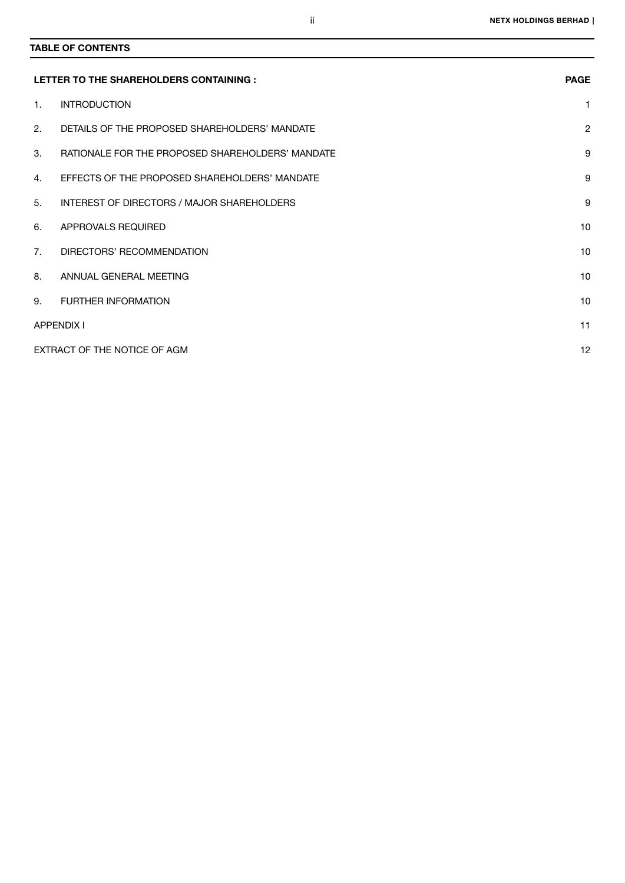# TABLE OF CONTENTS

|                | LETTER TO THE SHAREHOLDERS CONTAINING :          | <b>PAGE</b>    |
|----------------|--------------------------------------------------|----------------|
| $\mathbf{1}$ . | <b>INTRODUCTION</b>                              | 1              |
| 2.             | DETAILS OF THE PROPOSED SHAREHOLDERS' MANDATE    | $\overline{2}$ |
| 3.             | RATIONALE FOR THE PROPOSED SHAREHOLDERS' MANDATE | 9              |
| 4.             | EFFECTS OF THE PROPOSED SHAREHOLDERS' MANDATE    | 9              |
| 5.             | INTEREST OF DIRECTORS / MAJOR SHAREHOLDERS       | 9              |
| 6.             | APPROVALS REQUIRED                               | 10             |
| 7 <sub>1</sub> | DIRECTORS' RECOMMENDATION                        | 10             |
| 8.             | ANNUAL GENERAL MEETING                           | 10             |
| 9.             | <b>FURTHER INFORMATION</b>                       | 10             |
|                | <b>APPENDIX I</b>                                | 11             |
|                | EXTRACT OF THE NOTICE OF AGM                     | 12             |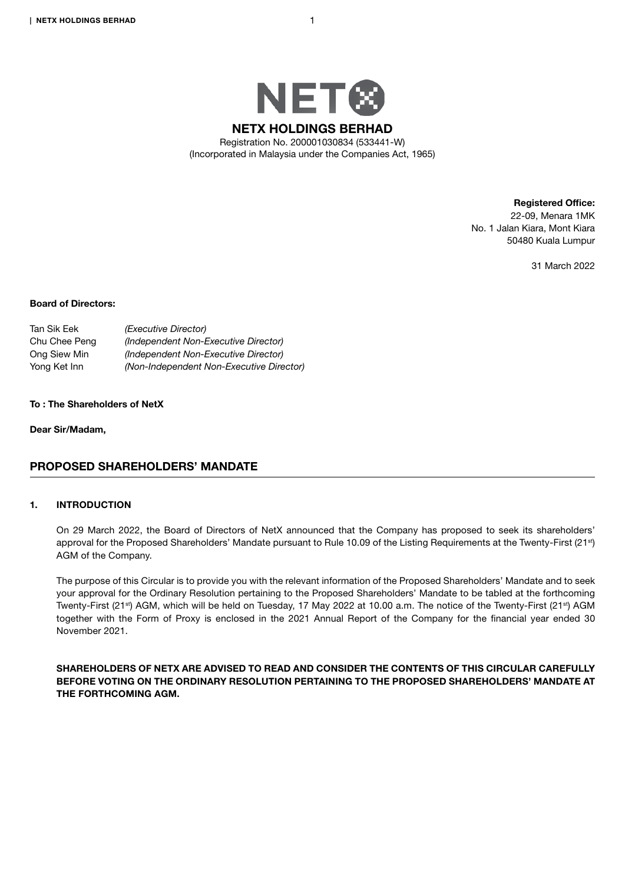

Registered Office: 22-09, Menara 1MK No. 1 Jalan Kiara, Mont Kiara 50480 Kuala Lumpur

31 March 2022

### Board of Directors:

| Tan Sik Eek   | (Executive Director)                     |
|---------------|------------------------------------------|
| Chu Chee Peng | (Independent Non-Executive Director)     |
| Ong Siew Min  | (Independent Non-Executive Director)     |
| Yong Ket Inn  | (Non-Independent Non-Executive Director) |

#### To : The Shareholders of NetX

Dear Sir/Madam,

# PROPOSED SHAREHOLDERS' MANDATE

### 1. INTRODUCTION

On 29 March 2022, the Board of Directors of NetX announced that the Company has proposed to seek its shareholders' approval for the Proposed Shareholders' Mandate pursuant to Rule 10.09 of the Listing Requirements at the Twenty-First (21<sup>st</sup>) AGM of the Company.

The purpose of this Circular is to provide you with the relevant information of the Proposed Shareholders' Mandate and to seek your approval for the Ordinary Resolution pertaining to the Proposed Shareholders' Mandate to be tabled at the forthcoming Twenty-First (21<sup>st</sup>) AGM, which will be held on Tuesday, 17 May 2022 at 10.00 a.m. The notice of the Twenty-First (21<sup>st</sup>) AGM together with the Form of Proxy is enclosed in the 2021 Annual Report of the Company for the financial year ended 30 November 2021.

SHAREHOLDERS OF NETX ARE ADVISED TO READ AND CONSIDER THE CONTENTS OF THIS CIRCULAR CAREFULLY BEFORE VOTING ON THE ORDINARY RESOLUTION PERTAINING TO THE PROPOSED SHAREHOLDERS' MANDATE AT THE FORTHCOMING AGM.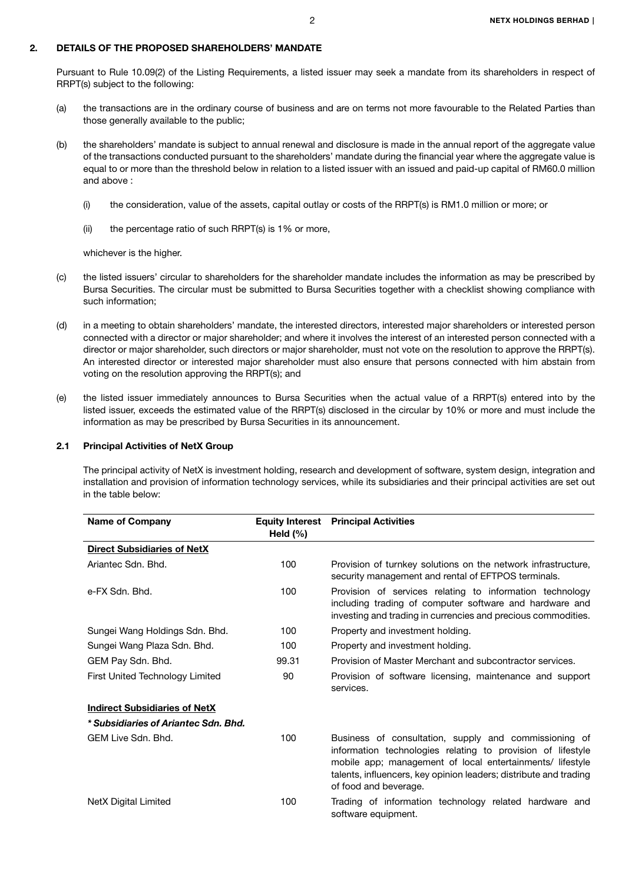Pursuant to Rule 10.09(2) of the Listing Requirements, a listed issuer may seek a mandate from its shareholders in respect of RRPT(s) subject to the following:

- (a) the transactions are in the ordinary course of business and are on terms not more favourable to the Related Parties than those generally available to the public;
- (b) the shareholders' mandate is subject to annual renewal and disclosure is made in the annual report of the aggregate value of the transactions conducted pursuant to the shareholders' mandate during the financial year where the aggregate value is equal to or more than the threshold below in relation to a listed issuer with an issued and paid-up capital of RM60.0 million and above :
	- (i) the consideration, value of the assets, capital outlay or costs of the RRPT(s) is RM1.0 million or more; or
	- (ii) the percentage ratio of such RRPT(s) is 1% or more,

whichever is the higher.

- (c) the listed issuers' circular to shareholders for the shareholder mandate includes the information as may be prescribed by Bursa Securities. The circular must be submitted to Bursa Securities together with a checklist showing compliance with such information;
- (d) in a meeting to obtain shareholders' mandate, the interested directors, interested major shareholders or interested person connected with a director or major shareholder; and where it involves the interest of an interested person connected with a director or major shareholder, such directors or major shareholder, must not vote on the resolution to approve the RRPT(s). An interested director or interested major shareholder must also ensure that persons connected with him abstain from voting on the resolution approving the RRPT(s); and
- (e) the listed issuer immediately announces to Bursa Securities when the actual value of a RRPT(s) entered into by the listed issuer, exceeds the estimated value of the RRPT(s) disclosed in the circular by 10% or more and must include the information as may be prescribed by Bursa Securities in its announcement.

#### 2.1 Principal Activities of NetX Group

The principal activity of NetX is investment holding, research and development of software, system design, integration and installation and provision of information technology services, while its subsidiaries and their principal activities are set out in the table below:

| <b>Name of Company</b>               | Held $(\%)$ | <b>Equity Interest</b> Principal Activities                                                                                                                                                                                                                                     |  |
|--------------------------------------|-------------|---------------------------------------------------------------------------------------------------------------------------------------------------------------------------------------------------------------------------------------------------------------------------------|--|
| <b>Direct Subsidiaries of NetX</b>   |             |                                                                                                                                                                                                                                                                                 |  |
| Ariantec Sdn, Bhd.                   | 100         | Provision of turnkey solutions on the network infrastructure,<br>security management and rental of EFTPOS terminals.                                                                                                                                                            |  |
| e-FX Sdn. Bhd.                       | 100         | Provision of services relating to information technology<br>including trading of computer software and hardware and<br>investing and trading in currencies and precious commodities.                                                                                            |  |
| Sungei Wang Holdings Sdn. Bhd.       | 100         | Property and investment holding.                                                                                                                                                                                                                                                |  |
| Sungei Wang Plaza Sdn. Bhd.          | 100         | Property and investment holding.                                                                                                                                                                                                                                                |  |
| GEM Pay Sdn. Bhd.                    | 99.31       | Provision of Master Merchant and subcontractor services.                                                                                                                                                                                                                        |  |
| First United Technology Limited      | 90          | Provision of software licensing, maintenance and support<br>services.                                                                                                                                                                                                           |  |
| <b>Indirect Subsidiaries of NetX</b> |             |                                                                                                                                                                                                                                                                                 |  |
| * Subsidiaries of Ariantec Sdn. Bhd. |             |                                                                                                                                                                                                                                                                                 |  |
| GFM Live Sdn, Bhd.                   | 100         | Business of consultation, supply and commissioning of<br>information technologies relating to provision of lifestyle<br>mobile app; management of local entertainments/ lifestyle<br>talents, influencers, key opinion leaders; distribute and trading<br>of food and beverage. |  |
| NetX Digital Limited                 | 100         | Trading of information technology related hardware and<br>software equipment.                                                                                                                                                                                                   |  |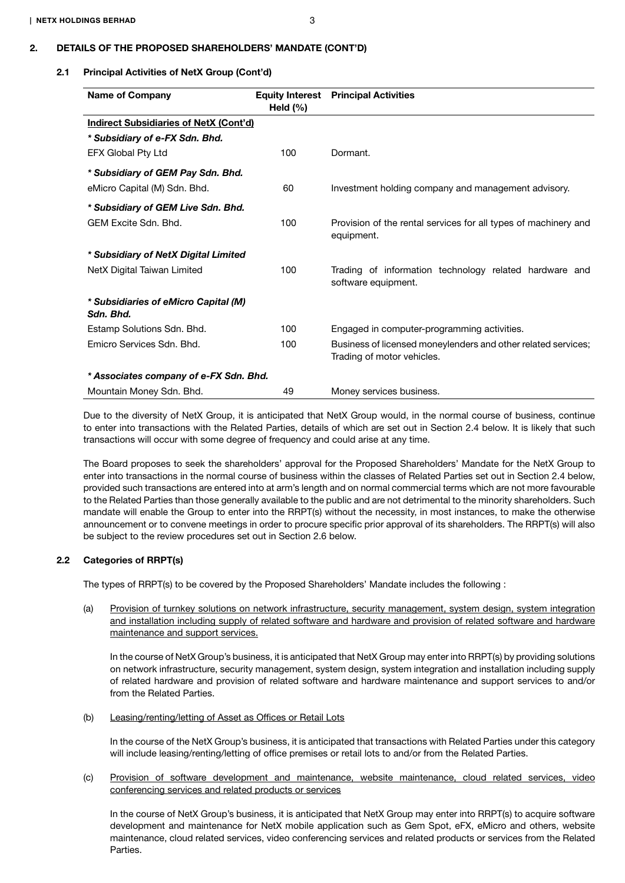# 2.1 Principal Activities of NetX Group (Cont'd)

| <b>Name of Company</b>                            | Held $(\%)$ | <b>Equity Interest</b> Principal Activities                                                 |
|---------------------------------------------------|-------------|---------------------------------------------------------------------------------------------|
| <b>Indirect Subsidiaries of NetX (Cont'd)</b>     |             |                                                                                             |
| * Subsidiary of e-FX Sdn. Bhd.                    |             |                                                                                             |
| EFX Global Pty Ltd                                | 100         | Dormant.                                                                                    |
| * Subsidiary of GEM Pay Sdn. Bhd.                 |             |                                                                                             |
| eMicro Capital (M) Sdn. Bhd.                      | 60          | Investment holding company and management advisory.                                         |
| * Subsidiary of GEM Live Sdn. Bhd.                |             |                                                                                             |
| GEM Excite Sdn. Bhd.                              | 100         | Provision of the rental services for all types of machinery and<br>equipment.               |
| * Subsidiary of NetX Digital Limited              |             |                                                                                             |
| NetX Digital Taiwan Limited                       | 100         | Trading of information technology related hardware and<br>software equipment.               |
| * Subsidiaries of eMicro Capital (M)<br>Sdn. Bhd. |             |                                                                                             |
| Estamp Solutions Sdn. Bhd.                        | 100         | Engaged in computer-programming activities.                                                 |
| Emicro Services Sdn. Bhd.                         | 100         | Business of licensed moneylenders and other related services;<br>Trading of motor vehicles. |
| * Associates company of e-FX Sdn. Bhd.            |             |                                                                                             |
| Mountain Money Sdn. Bhd.                          | 49          | Money services business.                                                                    |

Due to the diversity of NetX Group, it is anticipated that NetX Group would, in the normal course of business, continue to enter into transactions with the Related Parties, details of which are set out in Section 2.4 below. It is likely that such transactions will occur with some degree of frequency and could arise at any time.

The Board proposes to seek the shareholders' approval for the Proposed Shareholders' Mandate for the NetX Group to enter into transactions in the normal course of business within the classes of Related Parties set out in Section 2.4 below, provided such transactions are entered into at arm's length and on normal commercial terms which are not more favourable to the Related Parties than those generally available to the public and are not detrimental to the minority shareholders. Such mandate will enable the Group to enter into the RRPT(s) without the necessity, in most instances, to make the otherwise announcement or to convene meetings in order to procure specific prior approval of its shareholders. The RRPT(s) will also be subject to the review procedures set out in Section 2.6 below.

### 2.2 Categories of RRPT(s)

The types of RRPT(s) to be covered by the Proposed Shareholders' Mandate includes the following :

(a) Provision of turnkey solutions on network infrastructure, security management, system design, system integration and installation including supply of related software and hardware and provision of related software and hardware maintenance and support services.

In the course of NetX Group's business, it is anticipated that NetX Group may enter into RRPT(s) by providing solutions on network infrastructure, security management, system design, system integration and installation including supply of related hardware and provision of related software and hardware maintenance and support services to and/or from the Related Parties.

### (b) Leasing/renting/letting of Asset as Offices or Retail Lots

In the course of the NetX Group's business, it is anticipated that transactions with Related Parties under this category will include leasing/renting/letting of office premises or retail lots to and/or from the Related Parties.

### (c) Provision of software development and maintenance, website maintenance, cloud related services, video conferencing services and related products or services

In the course of NetX Group's business, it is anticipated that NetX Group may enter into RRPT(s) to acquire software development and maintenance for NetX mobile application such as Gem Spot, eFX, eMicro and others, website maintenance, cloud related services, video conferencing services and related products or services from the Related Parties.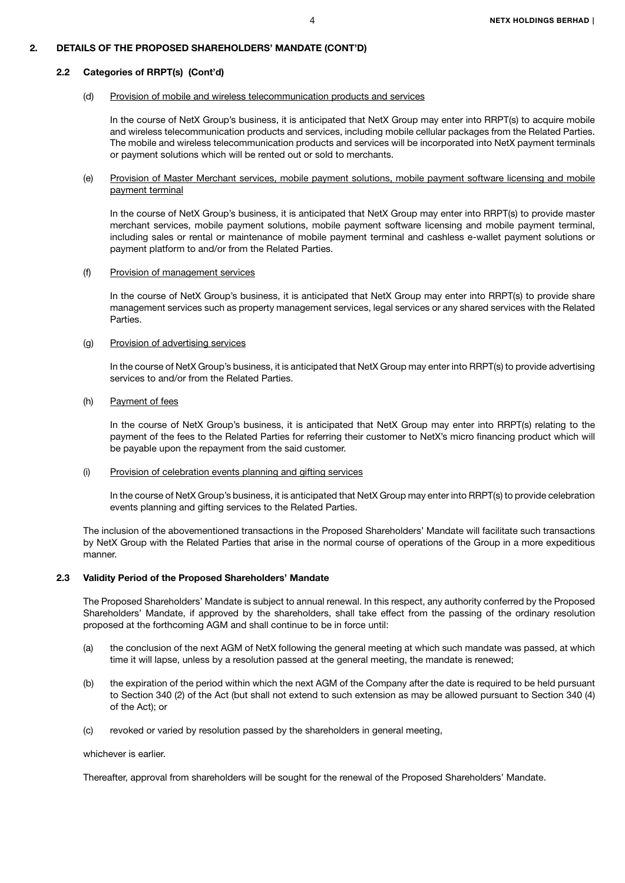#### 2.2 Categories of RRPT(s) (Cont'd)

### (d) Provision of mobile and wireless telecommunication products and services

In the course of NetX Group's business, it is anticipated that NetX Group may enter into RRPT(s) to acquire mobile and wireless telecommunication products and services, including mobile cellular packages from the Related Parties. The mobile and wireless telecommunication products and services will be incorporated into NetX payment terminals or payment solutions which will be rented out or sold to merchants.

### (e) Provision of Master Merchant services, mobile payment solutions, mobile payment software licensing and mobile payment terminal

In the course of NetX Group's business, it is anticipated that NetX Group may enter into RRPT(s) to provide master merchant services, mobile payment solutions, mobile payment software licensing and mobile payment terminal, including sales or rental or maintenance of mobile payment terminal and cashless e-wallet payment solutions or payment platform to and/or from the Related Parties.

#### (f) Provision of management services

In the course of NetX Group's business, it is anticipated that NetX Group may enter into RRPT(s) to provide share management services such as property management services, legal services or any shared services with the Related Parties.

### (g) Provision of advertising services

In the course of NetX Group's business, it is anticipated that NetX Group may enter into RRPT(s) to provide advertising services to and/or from the Related Parties.

#### (h) Payment of fees

In the course of NetX Group's business, it is anticipated that NetX Group may enter into RRPT(s) relating to the payment of the fees to the Related Parties for referring their customer to NetX's micro financing product which will be payable upon the repayment from the said customer.

#### (i) Provision of celebration events planning and gifting services

In the course of NetX Group's business, it is anticipated that NetX Group may enter into RRPT(s) to provide celebration events planning and gifting services to the Related Parties.

The inclusion of the abovementioned transactions in the Proposed Shareholders' Mandate will facilitate such transactions by NetX Group with the Related Parties that arise in the normal course of operations of the Group in a more expeditious manner.

#### 2.3 Validity Period of the Proposed Shareholders' Mandate

The Proposed Shareholders' Mandate is subject to annual renewal. In this respect, any authority conferred by the Proposed Shareholders' Mandate, if approved by the shareholders, shall take effect from the passing of the ordinary resolution proposed at the forthcoming AGM and shall continue to be in force until:

- (a) the conclusion of the next AGM of NetX following the general meeting at which such mandate was passed, at which time it will lapse, unless by a resolution passed at the general meeting, the mandate is renewed;
- (b) the expiration of the period within which the next AGM of the Company after the date is required to be held pursuant to Section 340 (2) of the Act (but shall not extend to such extension as may be allowed pursuant to Section 340 (4) of the Act); or
- (c) revoked or varied by resolution passed by the shareholders in general meeting,

### whichever is earlier.

Thereafter, approval from shareholders will be sought for the renewal of the Proposed Shareholders' Mandate.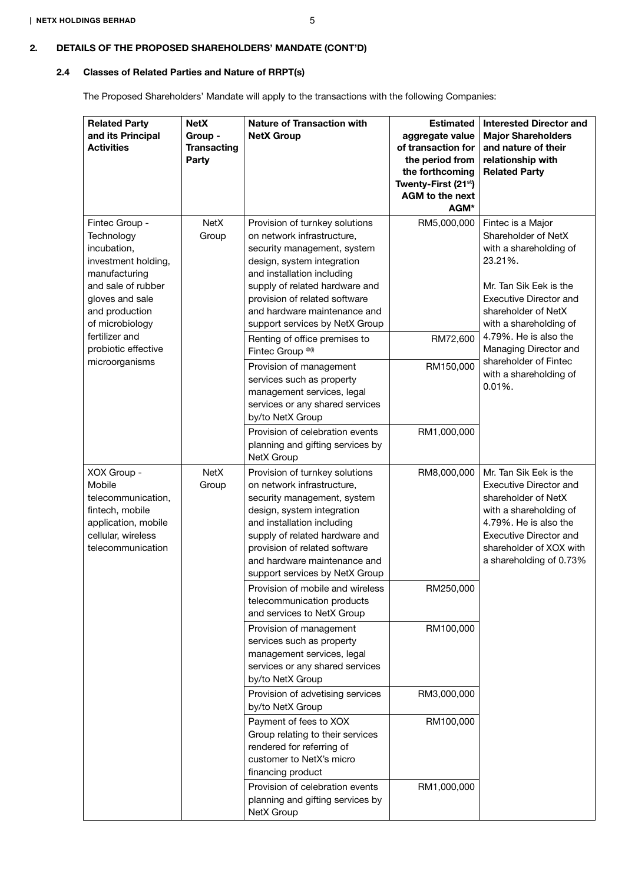# 2.4 Classes of Related Parties and Nature of RRPT(s)

The Proposed Shareholders' Mandate will apply to the transactions with the following Companies:

| <b>Related Party</b><br>and its Principal<br><b>Activities</b>                                                                                                                                                               | <b>NetX</b><br>Group -<br><b>Transacting</b><br>Party | <b>Nature of Transaction with</b><br><b>NetX Group</b>                                                                                                                                                                                                                                                                                                                                                                                                                                                     | <b>Estimated</b><br>aggregate value<br>of transaction for<br>the period from<br>the forthcoming<br>Twenty-First (21 <sup>st</sup> )<br>AGM to the next<br>AGM* | <b>Interested Director and</b><br><b>Major Shareholders</b><br>and nature of their<br>relationship with<br><b>Related Party</b>                                                                                                                                                                              |
|------------------------------------------------------------------------------------------------------------------------------------------------------------------------------------------------------------------------------|-------------------------------------------------------|------------------------------------------------------------------------------------------------------------------------------------------------------------------------------------------------------------------------------------------------------------------------------------------------------------------------------------------------------------------------------------------------------------------------------------------------------------------------------------------------------------|----------------------------------------------------------------------------------------------------------------------------------------------------------------|--------------------------------------------------------------------------------------------------------------------------------------------------------------------------------------------------------------------------------------------------------------------------------------------------------------|
| Fintec Group -<br>Technology<br>incubation,<br>investment holding,<br>manufacturing<br>and sale of rubber<br>gloves and sale<br>and production<br>of microbiology<br>fertilizer and<br>probiotic effective<br>microorganisms | <b>NetX</b><br>Group                                  | Provision of turnkey solutions<br>on network infrastructure,<br>security management, system<br>design, system integration<br>and installation including<br>supply of related hardware and<br>provision of related software<br>and hardware maintenance and<br>support services by NetX Group<br>Renting of office premises to<br>Fintec Group <sup>®(i)</sup><br>Provision of management<br>services such as property<br>management services, legal<br>services or any shared services<br>by/to NetX Group | RM5,000,000<br>RM72,600<br>RM150,000                                                                                                                           | Fintec is a Major<br>Shareholder of NetX<br>with a shareholding of<br>23.21%.<br>Mr. Tan Sik Eek is the<br><b>Executive Director and</b><br>shareholder of NetX<br>with a shareholding of<br>4.79%. He is also the<br>Managing Director and<br>shareholder of Fintec<br>with a shareholding of<br>$0.01\%$ . |
|                                                                                                                                                                                                                              |                                                       | Provision of celebration events<br>planning and gifting services by<br>NetX Group                                                                                                                                                                                                                                                                                                                                                                                                                          | RM1,000,000                                                                                                                                                    |                                                                                                                                                                                                                                                                                                              |
| XOX Group -<br>Mobile<br>telecommunication,<br>fintech, mobile<br>application, mobile<br>cellular, wireless<br>telecommunication                                                                                             | <b>NetX</b><br>Group                                  | Provision of turnkey solutions<br>on network infrastructure,<br>security management, system<br>design, system integration<br>and installation including<br>supply of related hardware and<br>provision of related software<br>and hardware maintenance and<br>support services by NetX Group                                                                                                                                                                                                               | RM8,000,000                                                                                                                                                    | Mr. Tan Sik Eek is the<br>Executive Director and<br>shareholder of NetX<br>with a shareholding of<br>4.79%. He is also the<br><b>Executive Director and</b><br>shareholder of XOX with<br>a shareholding of 0.73%                                                                                            |
|                                                                                                                                                                                                                              |                                                       | Provision of mobile and wireless<br>telecommunication products<br>and services to NetX Group                                                                                                                                                                                                                                                                                                                                                                                                               | RM250,000                                                                                                                                                      |                                                                                                                                                                                                                                                                                                              |
|                                                                                                                                                                                                                              |                                                       | Provision of management<br>services such as property<br>management services, legal<br>services or any shared services<br>by/to NetX Group                                                                                                                                                                                                                                                                                                                                                                  | RM100,000                                                                                                                                                      |                                                                                                                                                                                                                                                                                                              |
|                                                                                                                                                                                                                              |                                                       | Provision of advetising services<br>by/to NetX Group                                                                                                                                                                                                                                                                                                                                                                                                                                                       | RM3,000,000                                                                                                                                                    |                                                                                                                                                                                                                                                                                                              |
|                                                                                                                                                                                                                              |                                                       | Payment of fees to XOX<br>Group relating to their services<br>rendered for referring of<br>customer to NetX's micro<br>financing product                                                                                                                                                                                                                                                                                                                                                                   | RM100,000                                                                                                                                                      |                                                                                                                                                                                                                                                                                                              |
|                                                                                                                                                                                                                              |                                                       | Provision of celebration events<br>planning and gifting services by<br>NetX Group                                                                                                                                                                                                                                                                                                                                                                                                                          | RM1,000,000                                                                                                                                                    |                                                                                                                                                                                                                                                                                                              |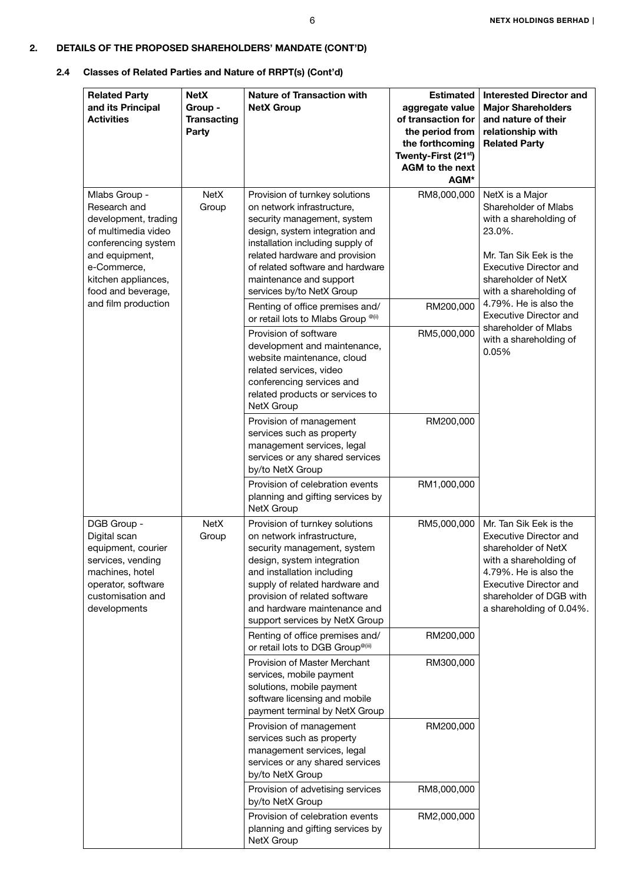| <b>Related Party</b><br>and its Principal<br><b>Activities</b>                                                                                                                    | <b>NetX</b><br>Group -<br><b>Transacting</b><br>Party | <b>Nature of Transaction with</b><br><b>NetX Group</b>                                                                                                                                                                                                                                          | <b>Estimated</b><br>aggregate value<br>of transaction for<br>the period from<br>the forthcoming<br>Twenty-First (21 <sup>st</sup> )<br><b>AGM to the next</b><br>AGM* | <b>Interested Director and</b><br><b>Major Shareholders</b><br>and nature of their<br>relationship with<br><b>Related Party</b>                                                                                           |  |  |
|-----------------------------------------------------------------------------------------------------------------------------------------------------------------------------------|-------------------------------------------------------|-------------------------------------------------------------------------------------------------------------------------------------------------------------------------------------------------------------------------------------------------------------------------------------------------|-----------------------------------------------------------------------------------------------------------------------------------------------------------------------|---------------------------------------------------------------------------------------------------------------------------------------------------------------------------------------------------------------------------|--|--|
| Mlabs Group -<br>Research and<br>development, trading<br>of multimedia video<br>conferencing system<br>and equipment,<br>e-Commerce,<br>kitchen appliances,<br>food and beverage, | <b>NetX</b><br>Group                                  | Provision of turnkey solutions<br>on network infrastructure,<br>security management, system<br>design, system integration and<br>installation including supply of<br>related hardware and provision<br>of related software and hardware<br>maintenance and support<br>services by/to NetX Group | RM8,000,000                                                                                                                                                           | NetX is a Major<br>Shareholder of Mlabs<br>with a shareholding of<br>23.0%.<br>Mr. Tan Sik Eek is the<br><b>Executive Director and</b><br>shareholder of NetX<br>with a shareholding of                                   |  |  |
| and film production                                                                                                                                                               |                                                       | Renting of office premises and/<br>or retail lots to Mlabs Group <sup>@(ii)</sup>                                                                                                                                                                                                               | RM200,000                                                                                                                                                             | 4.79%. He is also the<br><b>Executive Director and</b><br>shareholder of Mlabs<br>with a shareholding of<br>0.05%                                                                                                         |  |  |
|                                                                                                                                                                                   |                                                       | Provision of software<br>development and maintenance,<br>website maintenance, cloud<br>related services, video<br>conferencing services and<br>related products or services to<br>NetX Group                                                                                                    | RM5,000,000                                                                                                                                                           |                                                                                                                                                                                                                           |  |  |
|                                                                                                                                                                                   |                                                       | Provision of management<br>services such as property<br>management services, legal<br>services or any shared services<br>by/to NetX Group                                                                                                                                                       | RM200,000                                                                                                                                                             |                                                                                                                                                                                                                           |  |  |
|                                                                                                                                                                                   |                                                       | Provision of celebration events<br>planning and gifting services by<br>NetX Group                                                                                                                                                                                                               | RM1,000,000                                                                                                                                                           |                                                                                                                                                                                                                           |  |  |
| DGB Group -<br>Digital scan<br>equipment, courier<br>services, vending<br>machines, hotel<br>operator, software<br>customisation and<br>developments                              | <b>NetX</b><br>Group                                  | Provision of turnkey solutions<br>on network infrastructure,<br>security management, system<br>design, system integration<br>and installation including<br>supply of related hardware and<br>provision of related software<br>and hardware maintenance and<br>support services by NetX Group    | RM5,000,000                                                                                                                                                           | Mr. Tan Sik Eek is the<br><b>Executive Director and</b><br>shareholder of NetX<br>with a shareholding of<br>4.79%. He is also the<br><b>Executive Director and</b><br>shareholder of DGB with<br>a shareholding of 0.04%. |  |  |
|                                                                                                                                                                                   |                                                       | Renting of office premises and/<br>or retail lots to DGB Group <sup>@(ii)</sup>                                                                                                                                                                                                                 | RM200,000                                                                                                                                                             |                                                                                                                                                                                                                           |  |  |
|                                                                                                                                                                                   |                                                       | Provision of Master Merchant<br>services, mobile payment<br>solutions, mobile payment<br>software licensing and mobile<br>payment terminal by NetX Group                                                                                                                                        | RM300,000                                                                                                                                                             |                                                                                                                                                                                                                           |  |  |
|                                                                                                                                                                                   |                                                       | Provision of management<br>services such as property<br>management services, legal<br>services or any shared services<br>by/to NetX Group                                                                                                                                                       | RM200,000                                                                                                                                                             |                                                                                                                                                                                                                           |  |  |
|                                                                                                                                                                                   |                                                       | Provision of advetising services<br>by/to NetX Group                                                                                                                                                                                                                                            | RM8,000,000                                                                                                                                                           |                                                                                                                                                                                                                           |  |  |
|                                                                                                                                                                                   |                                                       | Provision of celebration events<br>planning and gifting services by<br>NetX Group                                                                                                                                                                                                               | RM2,000,000                                                                                                                                                           |                                                                                                                                                                                                                           |  |  |

# 2.4 Classes of Related Parties and Nature of RRPT(s) (Cont'd)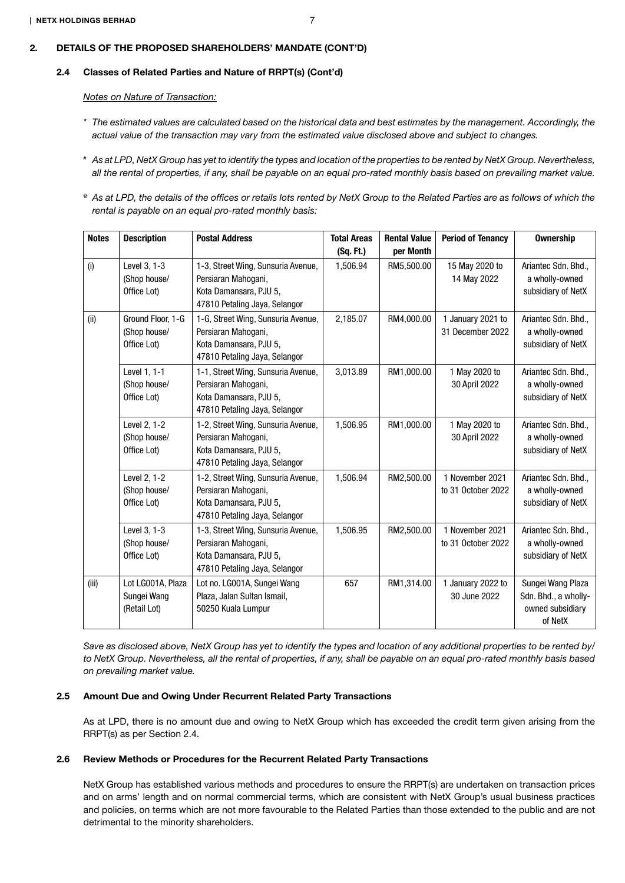### 2.4 Classes of Related Parties and Nature of RRPT(s) (Cont'd)

*Notes on Nature of Transaction:*

- *\* The estimated values are calculated based on the historical data and best estimates by the management. Accordingly, the actual value of the transaction may vary from the estimated value disclosed above and subject to changes.*
- *# As at LPD, NetX Group has yet to identify the types and location of the properties to be rented by NetX Group. Nevertheless, all the rental of properties, if any, shall be payable on an equal pro-rated monthly basis based on prevailing market value.*
- *@ As at LPD, the details of the offices or retails lots rented by NetX Group to the Related Parties are as follows of which the rental is payable on an equal pro-rated monthly basis:*

| <b>Notes</b> | <b>Description</b>                               | <b>Postal Address</b>                                                                                                | <b>Total Areas</b> | <b>Rental Value</b> | <b>Period of Tenancy</b>              | <b>Ownership</b>                                                         |
|--------------|--------------------------------------------------|----------------------------------------------------------------------------------------------------------------------|--------------------|---------------------|---------------------------------------|--------------------------------------------------------------------------|
|              |                                                  |                                                                                                                      | (Sq. Ft.)          | per Month           |                                       |                                                                          |
| (i)          | Level 3, 1-3<br>(Shop house/<br>Office Lot)      | 1-3, Street Wing, Sunsuria Avenue,<br>Persiaran Mahogani,<br>Kota Damansara, PJU 5,<br>47810 Petaling Jaya, Selangor | 1,506.94           | RM5,500.00          | 15 May 2020 to<br>14 May 2022         | Ariantec Sdn. Bhd.,<br>a wholly-owned<br>subsidiary of NetX              |
| (ii)         | Ground Floor, 1-G<br>(Shop house/<br>Office Lot) | 1-G, Street Wing, Sunsuria Avenue,<br>Persiaran Mahogani,<br>Kota Damansara, PJU 5,<br>47810 Petaling Jaya, Selangor | 2,185.07           | RM4,000.00          | 1 January 2021 to<br>31 December 2022 | Ariantec Sdn. Bhd.,<br>a wholly-owned<br>subsidiary of NetX              |
|              | Level 1, 1-1<br>(Shop house/<br>Office Lot)      | 1-1, Street Wing, Sunsuria Avenue,<br>Persiaran Mahogani,<br>Kota Damansara, PJU 5,<br>47810 Petaling Jaya, Selangor | 3,013.89           | RM1,000.00          | 1 May 2020 to<br>30 April 2022        | Ariantec Sdn. Bhd.,<br>a wholly-owned<br>subsidiary of NetX              |
|              | Level 2, 1-2<br>(Shop house/<br>Office Lot)      | 1-2, Street Wing, Sunsuria Avenue,<br>Persiaran Mahogani,<br>Kota Damansara, PJU 5,<br>47810 Petaling Jaya, Selangor | 1,506.95           | RM1,000.00          | 1 May 2020 to<br>30 April 2022        | Ariantec Sdn. Bhd.,<br>a wholly-owned<br>subsidiary of NetX              |
|              | Level 2, 1-2<br>(Shop house/<br>Office Lot)      | 1-2, Street Wing, Sunsuria Avenue,<br>Persiaran Mahogani,<br>Kota Damansara, PJU 5,<br>47810 Petaling Jaya, Selangor | 1,506.94           | RM2,500.00          | 1 November 2021<br>to 31 October 2022 | Ariantec Sdn. Bhd.,<br>a wholly-owned<br>subsidiary of NetX              |
|              | Level 3, 1-3<br>(Shop house/<br>Office Lot)      | 1-3, Street Wing, Sunsuria Avenue,<br>Persiaran Mahogani,<br>Kota Damansara, PJU 5,<br>47810 Petaling Jaya, Selangor | 1,506.95           | RM2,500.00          | 1 November 2021<br>to 31 October 2022 | Ariantec Sdn. Bhd.,<br>a wholly-owned<br>subsidiary of NetX              |
| (iii)        | Lot LG001A, Plaza<br>Sungei Wang<br>(Retail Lot) | Lot no. LG001A, Sungei Wang<br>Plaza, Jalan Sultan Ismail,<br>50250 Kuala Lumpur                                     | 657                | RM1,314.00          | 1 January 2022 to<br>30 June 2022     | Sungei Wang Plaza<br>Sdn. Bhd., a wholly-<br>owned subsidiary<br>of NetX |

*Save as disclosed above, NetX Group has yet to identify the types and location of any additional properties to be rented by/ to NetX Group. Nevertheless, all the rental of properties, if any, shall be payable on an equal pro-rated monthly basis based on prevailing market value.*

### 2.5 Amount Due and Owing Under Recurrent Related Party Transactions

As at LPD, there is no amount due and owing to NetX Group which has exceeded the credit term given arising from the RRPT(s) as per Section 2.4.

#### 2.6 Review Methods or Procedures for the Recurrent Related Party Transactions

NetX Group has established various methods and procedures to ensure the RRPT(s) are undertaken on transaction prices and on arms' length and on normal commercial terms, which are consistent with NetX Group's usual business practices and policies, on terms which are not more favourable to the Related Parties than those extended to the public and are not detrimental to the minority shareholders.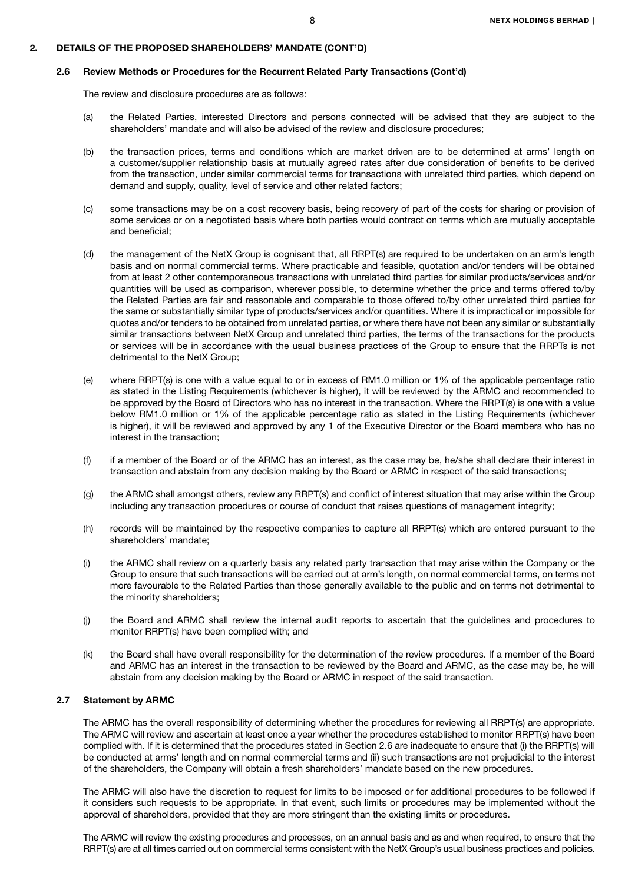#### 2.6 Review Methods or Procedures for the Recurrent Related Party Transactions (Cont'd)

The review and disclosure procedures are as follows:

- (a) the Related Parties, interested Directors and persons connected will be advised that they are subject to the shareholders' mandate and will also be advised of the review and disclosure procedures;
- (b) the transaction prices, terms and conditions which are market driven are to be determined at arms' length on a customer/supplier relationship basis at mutually agreed rates after due consideration of benefits to be derived from the transaction, under similar commercial terms for transactions with unrelated third parties, which depend on demand and supply, quality, level of service and other related factors;
- (c) some transactions may be on a cost recovery basis, being recovery of part of the costs for sharing or provision of some services or on a negotiated basis where both parties would contract on terms which are mutually acceptable and beneficial;
- (d) the management of the NetX Group is cognisant that, all RRPT(s) are required to be undertaken on an arm's length basis and on normal commercial terms. Where practicable and feasible, quotation and/or tenders will be obtained from at least 2 other contemporaneous transactions with unrelated third parties for similar products/services and/or quantities will be used as comparison, wherever possible, to determine whether the price and terms offered to/by the Related Parties are fair and reasonable and comparable to those offered to/by other unrelated third parties for the same or substantially similar type of products/services and/or quantities. Where it is impractical or impossible for quotes and/or tenders to be obtained from unrelated parties, or where there have not been any similar or substantially similar transactions between NetX Group and unrelated third parties, the terms of the transactions for the products or services will be in accordance with the usual business practices of the Group to ensure that the RRPTs is not detrimental to the NetX Group;
- (e) where RRPT(s) is one with a value equal to or in excess of RM1.0 million or 1% of the applicable percentage ratio as stated in the Listing Requirements (whichever is higher), it will be reviewed by the ARMC and recommended to be approved by the Board of Directors who has no interest in the transaction. Where the RRPT(s) is one with a value below RM1.0 million or 1% of the applicable percentage ratio as stated in the Listing Requirements (whichever is higher), it will be reviewed and approved by any 1 of the Executive Director or the Board members who has no interest in the transaction;
- (f) if a member of the Board or of the ARMC has an interest, as the case may be, he/she shall declare their interest in transaction and abstain from any decision making by the Board or ARMC in respect of the said transactions;
- (g) the ARMC shall amongst others, review any RRPT(s) and conflict of interest situation that may arise within the Group including any transaction procedures or course of conduct that raises questions of management integrity;
- (h) records will be maintained by the respective companies to capture all RRPT(s) which are entered pursuant to the shareholders' mandate;
- (i) the ARMC shall review on a quarterly basis any related party transaction that may arise within the Company or the Group to ensure that such transactions will be carried out at arm's length, on normal commercial terms, on terms not more favourable to the Related Parties than those generally available to the public and on terms not detrimental to the minority shareholders;
- (j) the Board and ARMC shall review the internal audit reports to ascertain that the guidelines and procedures to monitor RRPT(s) have been complied with; and
- (k) the Board shall have overall responsibility for the determination of the review procedures. If a member of the Board and ARMC has an interest in the transaction to be reviewed by the Board and ARMC, as the case may be, he will abstain from any decision making by the Board or ARMC in respect of the said transaction.

### 2.7 Statement by ARMC

The ARMC has the overall responsibility of determining whether the procedures for reviewing all RRPT(s) are appropriate. The ARMC will review and ascertain at least once a year whether the procedures established to monitor RRPT(s) have been complied with. If it is determined that the procedures stated in Section 2.6 are inadequate to ensure that (i) the RRPT(s) will be conducted at arms' length and on normal commercial terms and (ii) such transactions are not prejudicial to the interest of the shareholders, the Company will obtain a fresh shareholders' mandate based on the new procedures.

The ARMC will also have the discretion to request for limits to be imposed or for additional procedures to be followed if it considers such requests to be appropriate. In that event, such limits or procedures may be implemented without the approval of shareholders, provided that they are more stringent than the existing limits or procedures.

The ARMC will review the existing procedures and processes, on an annual basis and as and when required, to ensure that the RRPT(s) are at all times carried out on commercial terms consistent with the NetX Group's usual business practices and policies.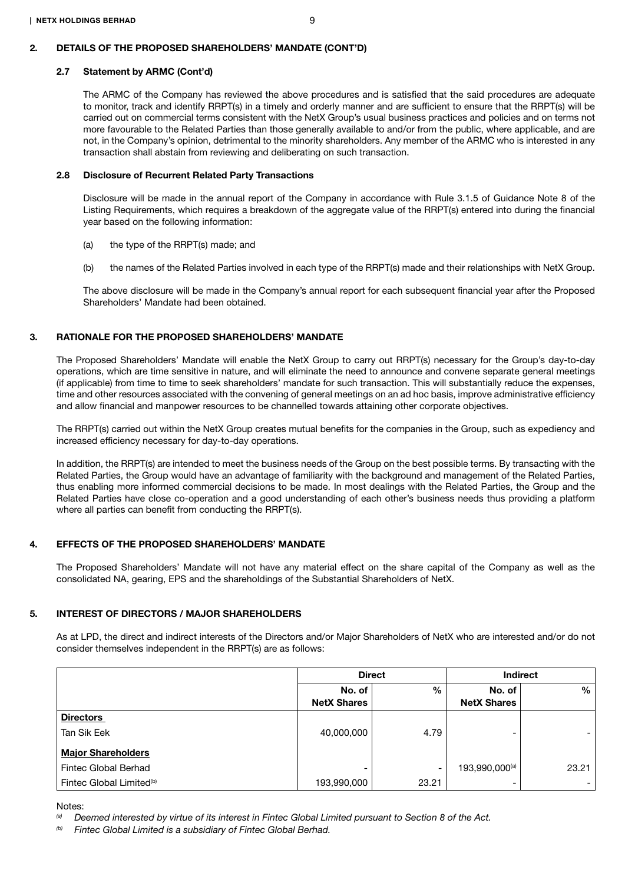#### 2.7 Statement by ARMC (Cont'd)

The ARMC of the Company has reviewed the above procedures and is satisfied that the said procedures are adequate to monitor, track and identify RRPT(s) in a timely and orderly manner and are sufficient to ensure that the RRPT(s) will be carried out on commercial terms consistent with the NetX Group's usual business practices and policies and on terms not more favourable to the Related Parties than those generally available to and/or from the public, where applicable, and are not, in the Company's opinion, detrimental to the minority shareholders. Any member of the ARMC who is interested in any transaction shall abstain from reviewing and deliberating on such transaction.

#### 2.8 Disclosure of Recurrent Related Party Transactions

Disclosure will be made in the annual report of the Company in accordance with Rule 3.1.5 of Guidance Note 8 of the Listing Requirements, which requires a breakdown of the aggregate value of the RRPT(s) entered into during the financial year based on the following information:

- (a) the type of the RRPT(s) made; and
- (b) the names of the Related Parties involved in each type of the RRPT(s) made and their relationships with NetX Group.

The above disclosure will be made in the Company's annual report for each subsequent financial year after the Proposed Shareholders' Mandate had been obtained.

### 3. RATIONALE FOR THE PROPOSED SHAREHOLDERS' MANDATE

The Proposed Shareholders' Mandate will enable the NetX Group to carry out RRPT(s) necessary for the Group's day-to-day operations, which are time sensitive in nature, and will eliminate the need to announce and convene separate general meetings (if applicable) from time to time to seek shareholders' mandate for such transaction. This will substantially reduce the expenses, time and other resources associated with the convening of general meetings on an ad hoc basis, improve administrative efficiency and allow financial and manpower resources to be channelled towards attaining other corporate objectives.

The RRPT(s) carried out within the NetX Group creates mutual benefits for the companies in the Group, such as expediency and increased efficiency necessary for day-to-day operations.

In addition, the RRPT(s) are intended to meet the business needs of the Group on the best possible terms. By transacting with the Related Parties, the Group would have an advantage of familiarity with the background and management of the Related Parties, thus enabling more informed commercial decisions to be made. In most dealings with the Related Parties, the Group and the Related Parties have close co-operation and a good understanding of each other's business needs thus providing a platform where all parties can benefit from conducting the RRPT(s).

### 4. EFFECTS OF THE PROPOSED SHAREHOLDERS' MANDATE

The Proposed Shareholders' Mandate will not have any material effect on the share capital of the Company as well as the consolidated NA, gearing, EPS and the shareholdings of the Substantial Shareholders of NetX.

### 5. INTEREST OF DIRECTORS / MAJOR SHAREHOLDERS

As at LPD, the direct and indirect interests of the Directors and/or Major Shareholders of NetX who are interested and/or do not consider themselves independent in the RRPT(s) are as follows:

|                                      | <b>Direct</b>                |               | <b>Indirect</b>              |       |
|--------------------------------------|------------------------------|---------------|------------------------------|-------|
|                                      | No. of<br><b>NetX Shares</b> | $\frac{0}{0}$ | No. of<br><b>NetX Shares</b> | %     |
| <b>Directors</b>                     |                              |               |                              |       |
| Tan Sik Eek                          | 40,000,000                   | 4.79          | -                            |       |
| <b>Major Shareholders</b>            |                              |               |                              |       |
| Fintec Global Berhad                 | -                            | ۰             | 193,990,000(a)               | 23.21 |
| Fintec Global Limited <sup>(b)</sup> | 193,990,000                  | 23.21         | -                            |       |

Notes:

*(b) Fintec Global Limited is a subsidiary of Fintec Global Berhad.* 

*<sup>(</sup>a) Deemed interested by virtue of its interest in Fintec Global Limited pursuant to Section 8 of the Act.*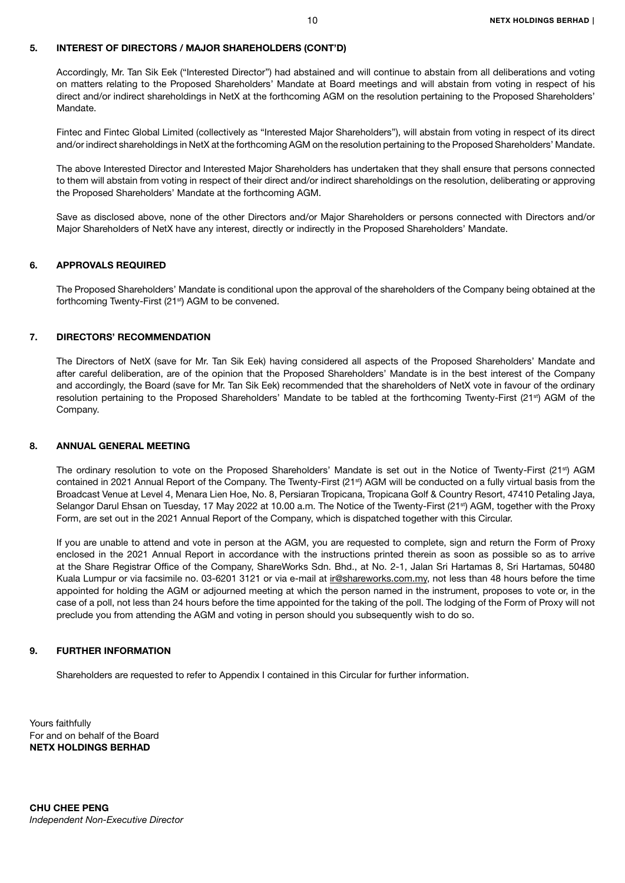# 5. INTEREST OF DIRECTORS / MAJOR SHAREHOLDERS (CONT'D)

Accordingly, Mr. Tan Sik Eek ("Interested Director") had abstained and will continue to abstain from all deliberations and voting on matters relating to the Proposed Shareholders' Mandate at Board meetings and will abstain from voting in respect of his direct and/or indirect shareholdings in NetX at the forthcoming AGM on the resolution pertaining to the Proposed Shareholders' Mandate.

Fintec and Fintec Global Limited (collectively as "Interested Major Shareholders"), will abstain from voting in respect of its direct and/or indirect shareholdings in NetX at the forthcoming AGM on the resolution pertaining to the Proposed Shareholders' Mandate.

The above Interested Director and Interested Major Shareholders has undertaken that they shall ensure that persons connected to them will abstain from voting in respect of their direct and/or indirect shareholdings on the resolution, deliberating or approving the Proposed Shareholders' Mandate at the forthcoming AGM.

Save as disclosed above, none of the other Directors and/or Major Shareholders or persons connected with Directors and/or Major Shareholders of NetX have any interest, directly or indirectly in the Proposed Shareholders' Mandate.

# 6. APPROVALS REQUIRED

The Proposed Shareholders' Mandate is conditional upon the approval of the shareholders of the Company being obtained at the forthcoming Twenty-First (21<sup>st</sup>) AGM to be convened.

# 7. DIRECTORS' RECOMMENDATION

The Directors of NetX (save for Mr. Tan Sik Eek) having considered all aspects of the Proposed Shareholders' Mandate and after careful deliberation, are of the opinion that the Proposed Shareholders' Mandate is in the best interest of the Company and accordingly, the Board (save for Mr. Tan Sik Eek) recommended that the shareholders of NetX vote in favour of the ordinary resolution pertaining to the Proposed Shareholders' Mandate to be tabled at the forthcoming Twenty-First (21<sup>st</sup>) AGM of the Company.

# 8. ANNUAL GENERAL MEETING

The ordinary resolution to vote on the Proposed Shareholders' Mandate is set out in the Notice of Twenty-First (21<sup>st</sup>) AGM contained in 2021 Annual Report of the Company. The Twenty-First (21<sup>st</sup>) AGM will be conducted on a fully virtual basis from the Broadcast Venue at Level 4, Menara Lien Hoe, No. 8, Persiaran Tropicana, Tropicana Golf & Country Resort, 47410 Petaling Jaya, Selangor Darul Ehsan on Tuesday, 17 May 2022 at 10.00 a.m. The Notice of the Twenty-First (21<sup>st</sup>) AGM, together with the Proxy Form, are set out in the 2021 Annual Report of the Company, which is dispatched together with this Circular.

If you are unable to attend and vote in person at the AGM, you are requested to complete, sign and return the Form of Proxy enclosed in the 2021 Annual Report in accordance with the instructions printed therein as soon as possible so as to arrive at the Share Registrar Office of the Company, ShareWorks Sdn. Bhd., at No. 2-1, Jalan Sri Hartamas 8, Sri Hartamas, 50480 Kuala Lumpur or via facsimile no. 03-6201 3121 or via e-mail at ir@shareworks.com.my, not less than 48 hours before the time appointed for holding the AGM or adjourned meeting at which the person named in the instrument, proposes to vote or, in the case of a poll, not less than 24 hours before the time appointed for the taking of the poll. The lodging of the Form of Proxy will not preclude you from attending the AGM and voting in person should you subsequently wish to do so.

# 9. FURTHER INFORMATION

Shareholders are requested to refer to Appendix I contained in this Circular for further information.

Yours faithfully For and on behalf of the Board NETX HOLDINGS BERHAD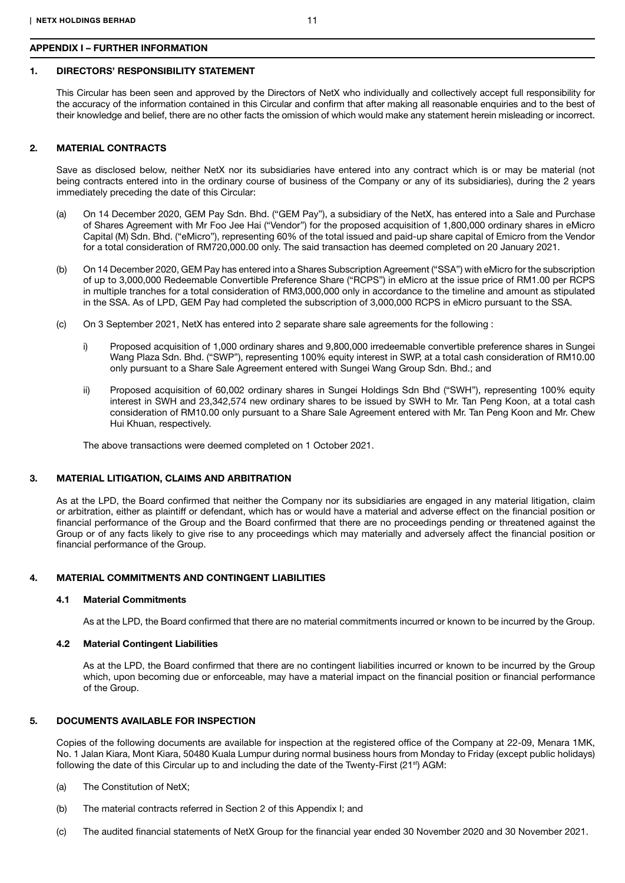### APPENDIX I – FURTHER INFORMATION

# 1. DIRECTORS' RESPONSIBILITY STATEMENT

This Circular has been seen and approved by the Directors of NetX who individually and collectively accept full responsibility for the accuracy of the information contained in this Circular and confirm that after making all reasonable enquiries and to the best of their knowledge and belief, there are no other facts the omission of which would make any statement herein misleading or incorrect.

# 2. MATERIAL CONTRACTS

Save as disclosed below, neither NetX nor its subsidiaries have entered into any contract which is or may be material (not being contracts entered into in the ordinary course of business of the Company or any of its subsidiaries), during the 2 years immediately preceding the date of this Circular:

- (a) On 14 December 2020, GEM Pay Sdn. Bhd. ("GEM Pay"), a subsidiary of the NetX, has entered into a Sale and Purchase of Shares Agreement with Mr Foo Jee Hai ("Vendor") for the proposed acquisition of 1,800,000 ordinary shares in eMicro Capital (M) Sdn. Bhd. ("eMicro"), representing 60% of the total issued and paid-up share capital of Emicro from the Vendor for a total consideration of RM720,000.00 only. The said transaction has deemed completed on 20 January 2021.
- (b) On 14 December 2020, GEM Pay has entered into a Shares Subscription Agreement ("SSA") with eMicro for the subscription of up to 3,000,000 Redeemable Convertible Preference Share ("RCPS") in eMicro at the issue price of RM1.00 per RCPS in multiple tranches for a total consideration of RM3,000,000 only in accordance to the timeline and amount as stipulated in the SSA. As of LPD, GEM Pay had completed the subscription of 3,000,000 RCPS in eMicro pursuant to the SSA.
- (c) On 3 September 2021, NetX has entered into 2 separate share sale agreements for the following :
	- i) Proposed acquisition of 1,000 ordinary shares and 9,800,000 irredeemable convertible preference shares in Sungei Wang Plaza Sdn. Bhd. ("SWP"), representing 100% equity interest in SWP, at a total cash consideration of RM10.00 only pursuant to a Share Sale Agreement entered with Sungei Wang Group Sdn. Bhd.; and
	- ii) Proposed acquisition of 60,002 ordinary shares in Sungei Holdings Sdn Bhd ("SWH"), representing 100% equity interest in SWH and 23,342,574 new ordinary shares to be issued by SWH to Mr. Tan Peng Koon, at a total cash consideration of RM10.00 only pursuant to a Share Sale Agreement entered with Mr. Tan Peng Koon and Mr. Chew Hui Khuan, respectively.

The above transactions were deemed completed on 1 October 2021.

# 3. MATERIAL LITIGATION, CLAIMS AND ARBITRATION

As at the LPD, the Board confirmed that neither the Company nor its subsidiaries are engaged in any material litigation, claim or arbitration, either as plaintiff or defendant, which has or would have a material and adverse effect on the financial position or financial performance of the Group and the Board confirmed that there are no proceedings pending or threatened against the Group or of any facts likely to give rise to any proceedings which may materially and adversely affect the financial position or financial performance of the Group.

# 4. MATERIAL COMMITMENTS AND CONTINGENT LIABILITIES

## 4.1 Material Commitments

As at the LPD, the Board confirmed that there are no material commitments incurred or known to be incurred by the Group.

# 4.2 Material Contingent Liabilities

As at the LPD, the Board confirmed that there are no contingent liabilities incurred or known to be incurred by the Group which, upon becoming due or enforceable, may have a material impact on the financial position or financial performance of the Group.

# 5. DOCUMENTS AVAILABLE FOR INSPECTION

Copies of the following documents are available for inspection at the registered office of the Company at 22-09, Menara 1MK, No. 1 Jalan Kiara, Mont Kiara, 50480 Kuala Lumpur during normal business hours from Monday to Friday (except public holidays) following the date of this Circular up to and including the date of the Twenty-First ( $21<sup>st</sup>$ ) AGM:

- (a) The Constitution of NetX;
- (b) The material contracts referred in Section 2 of this Appendix I; and
- (c) The audited financial statements of NetX Group for the financial year ended 30 November 2020 and 30 November 2021.